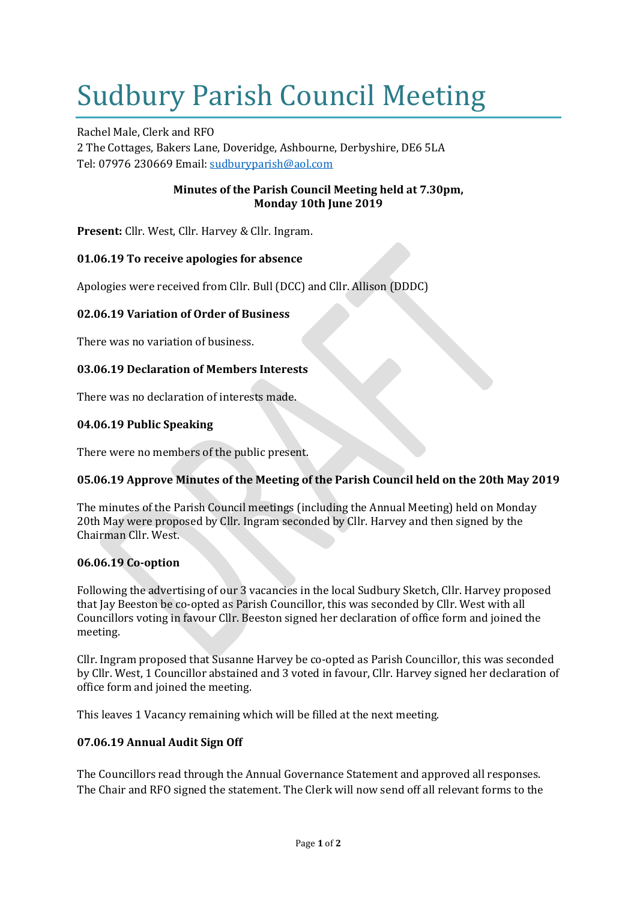# Sudbury Parish Council Meeting

Rachel Male, Clerk and RFO 2 The Cottages, Bakers Lane, Doveridge, Ashbourne, Derbyshire, DE6 5LA Tel: 07976 230669 Email: [sudburyparish@aol.com](mailto:sudburyparish@aol.com)

## **Minutes of the Parish Council Meeting held at 7.30pm, Monday 10th June 2019**

**Present:** Cllr. West, Cllr. Harvey & Cllr. Ingram.

# **01.06.19 To receive apologies for absence**

Apologies were received from Cllr. Bull (DCC) and Cllr. Allison (DDDC)

## **02.06.19 Variation of Order of Business**

There was no variation of business.

#### **03.06.19 Declaration of Members Interests**

There was no declaration of interests made.

#### **04.06.19 Public Speaking**

There were no members of the public present.

#### **05.06.19 Approve Minutes of the Meeting of the Parish Council held on the 20th May 2019**

The minutes of the Parish Council meetings (including the Annual Meeting) held on Monday 20th May were proposed by Cllr. Ingram seconded by Cllr. Harvey and then signed by the Chairman Cllr. West.

#### **06.06.19 Co-option**

Following the advertising of our 3 vacancies in the local Sudbury Sketch, Cllr. Harvey proposed that Jay Beeston be co-opted as Parish Councillor, this was seconded by Cllr. West with all Councillors voting in favour Cllr. Beeston signed her declaration of office form and joined the meeting.

Cllr. Ingram proposed that Susanne Harvey be co-opted as Parish Councillor, this was seconded by Cllr. West, 1 Councillor abstained and 3 voted in favour, Cllr. Harvey signed her declaration of office form and joined the meeting.

This leaves 1 Vacancy remaining which will be filled at the next meeting.

#### **07.06.19 Annual Audit Sign Off**

The Councillors read through the Annual Governance Statement and approved all responses. The Chair and RFO signed the statement. The Clerk will now send off all relevant forms to the